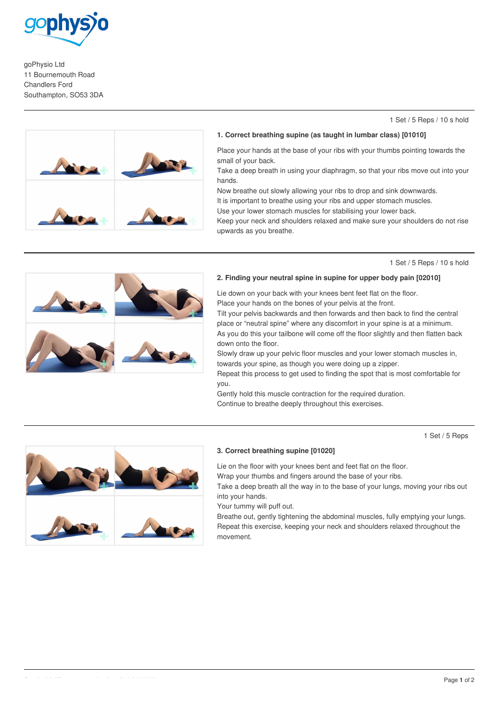

goPhysio Ltd 11 Bournemouth Road Chandlers Ford Southampton, SO53 3DA

#### 1 Set / 5 Reps / 10 s hold



#### **1. Correct breathing supine (as taught in lumbar class) [01010]**

Place your hands at the base of your ribs with your thumbs pointing towards the small of your back.

Take a deep breath in using your diaphragm, so that your ribs move out into your hands.

Now breathe out slowly allowing your ribs to drop and sink downwards. It is important to breathe using your ribs and upper stomach muscles.

Use your lower stomach muscles for stabilising your lower back.

Keep your neck and shoulders relaxed and make sure your shoulders do not rise upwards as you breathe.

1 Set / 5 Reps / 10 s hold

### **2. Finding your neutral spine in supine for upper body pain [02010]**

Lie down on your back with your knees bent feet flat on the floor. Place your hands on the bones of your pelvis at the front.

Tilt your pelvis backwards and then forwards and then back to find the central place or "neutral spine" where any discomfort in your spine is at a minimum. As you do this your tailbone will come off the floor slightly and then flatten back down onto the floor.

Slowly draw up your pelvic floor muscles and your lower stomach muscles in, towards your spine, as though you were doing up a zipper.

Repeat this process to get used to finding the spot that is most comfortable for you.

Gently hold this muscle contraction for the required duration. Continue to breathe deeply throughout this exercises.

1 Set / 5 Reps



# **3. Correct breathing supine [01020]**

Lie on the floor with your knees bent and feet flat on the floor.

Wrap your thumbs and fingers around the base of your ribs.

Take a deep breath all the way in to the base of your lungs, moving your ribs out into your hands.

Your tummy will puff out.

Breathe out, gently tightening the abdominal muscles, fully emptying your lungs. Repeat this exercise, keeping your neck and shoulders relaxed throughout the movement.